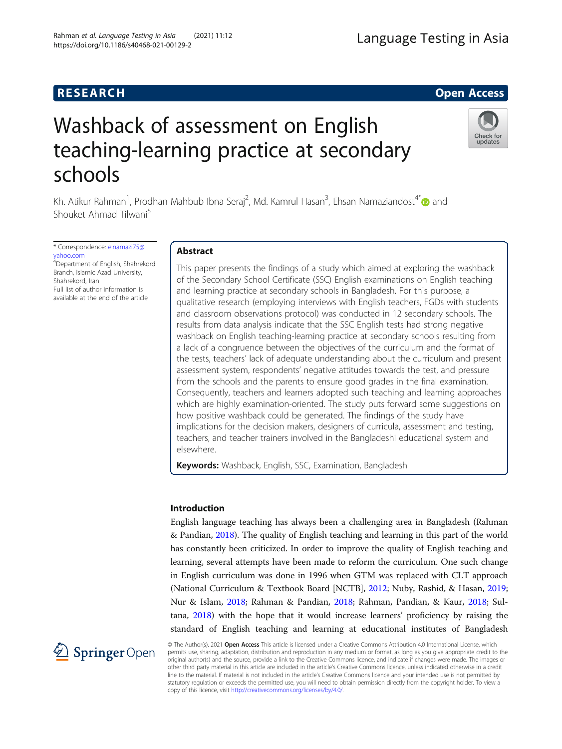## **RESEARCH CHEAR CHEAR CHEAR CHEAR CHEAR CHEAR CHEAR CHEAR CHEAR CHEAR CHEAR CHEAR CHEAR CHEAR CHEAR CHEAR CHEAR**

# Washback of assessment on English teaching-learning practice at secondary schools

Kh. Atikur Rahman<sup>1</sup>, Prodhan Mahbub Ibna Seraj<sup>2</sup>, Md. Kamrul Hasan<sup>3</sup>, Ehsan Namaziandost<sup>4\*</sup>@ and Shouket Ahmad Tilwani<sup>5</sup>

\* Correspondence: [e.namazi75@](mailto:e.namazi75@yahoo.com) [yahoo.com](mailto:e.namazi75@yahoo.com) <sup>4</sup>Department of English, Shahrekord Branch, Islamic Azad University, Shahrekord, Iran Full list of author information is available at the end of the article

2 Springer Open

### Abstract

This paper presents the findings of a study which aimed at exploring the washback of the Secondary School Certificate (SSC) English examinations on English teaching and learning practice at secondary schools in Bangladesh. For this purpose, a qualitative research (employing interviews with English teachers, FGDs with students and classroom observations protocol) was conducted in 12 secondary schools. The results from data analysis indicate that the SSC English tests had strong negative washback on English teaching-learning practice at secondary schools resulting from a lack of a congruence between the objectives of the curriculum and the format of the tests, teachers' lack of adequate understanding about the curriculum and present assessment system, respondents' negative attitudes towards the test, and pressure from the schools and the parents to ensure good grades in the final examination. Consequently, teachers and learners adopted such teaching and learning approaches which are highly examination-oriented. The study puts forward some suggestions on how positive washback could be generated. The findings of the study have implications for the decision makers, designers of curricula, assessment and testing, teachers, and teacher trainers involved in the Bangladeshi educational system and elsewhere.

Keywords: Washback, English, SSC, Examination, Bangladesh

#### Introduction

English language teaching has always been a challenging area in Bangladesh (Rahman & Pandian, [2018](#page-22-0)). The quality of English teaching and learning in this part of the world has constantly been criticized. In order to improve the quality of English teaching and learning, several attempts have been made to reform the curriculum. One such change in English curriculum was done in 1996 when GTM was replaced with CLT approach (National Curriculum & Textbook Board [NCTB], [2012](#page-21-0); Nuby, Rashid, & Hasan, [2019](#page-21-0); Nur & Islam, [2018](#page-21-0); Rahman & Pandian, [2018;](#page-22-0) Rahman, Pandian, & Kaur, [2018;](#page-22-0) Sultana, [2018](#page-22-0)) with the hope that it would increase learners' proficiency by raising the standard of English teaching and learning at educational institutes of Bangladesh

© The Author(s). 2021 Open Access This article is licensed under a Creative Commons Attribution 4.0 International License, which permits use, sharing, adaptation, distribution and reproduction in any medium or format, as long as you give appropriate credit to the original author(s) and the source, provide a link to the Creative Commons licence, and indicate if changes were made. The images or other third party material in this article are included in the article's Creative Commons licence, unless indicated otherwise in a credit line to the material. If material is not included in the article's Creative Commons licence and your intended use is not permitted by statutory regulation or exceeds the permitted use, you will need to obtain permission directly from the copyright holder. To view a copy of this licence, visit <http://creativecommons.org/licenses/by/4.0/>.



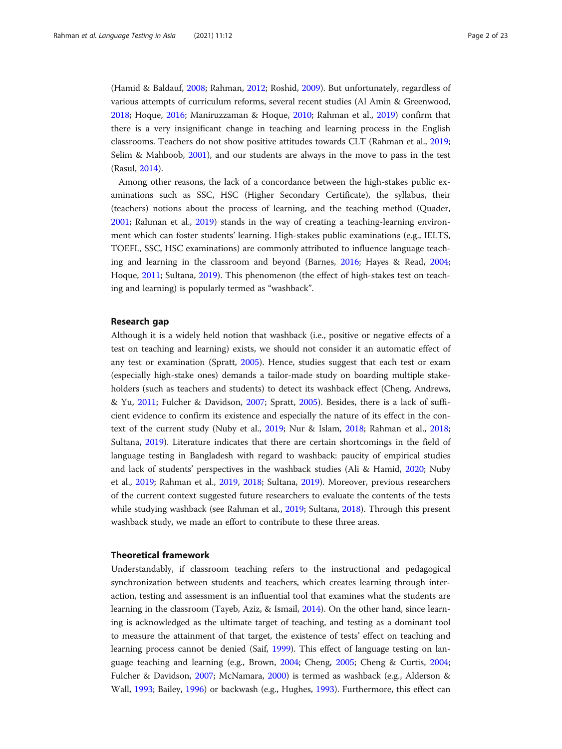(Hamid & Baldauf, [2008;](#page-21-0) Rahman, [2012](#page-22-0); Roshid, [2009\)](#page-22-0). But unfortunately, regardless of various attempts of curriculum reforms, several recent studies (Al Amin & Greenwood, [2018](#page-20-0); Hoque, [2016;](#page-21-0) Maniruzzaman & Hoque, [2010](#page-21-0); Rahman et al., [2019](#page-22-0)) confirm that there is a very insignificant change in teaching and learning process in the English classrooms. Teachers do not show positive attitudes towards CLT (Rahman et al., [2019](#page-22-0); Selim & Mahboob, [2001](#page-22-0)), and our students are always in the move to pass in the test (Rasul, [2014\)](#page-22-0).

Among other reasons, the lack of a concordance between the high-stakes public examinations such as SSC, HSC (Higher Secondary Certificate), the syllabus, their (teachers) notions about the process of learning, and the teaching method (Quader, [2001](#page-22-0); Rahman et al., [2019\)](#page-22-0) stands in the way of creating a teaching-learning environment which can foster students' learning. High-stakes public examinations (e.g., IELTS, TOEFL, SSC, HSC examinations) are commonly attributed to influence language teaching and learning in the classroom and beyond (Barnes, [2016;](#page-20-0) Hayes & Read, [2004](#page-21-0); Hoque, [2011](#page-21-0); Sultana, [2019](#page-22-0)). This phenomenon (the effect of high-stakes test on teaching and learning) is popularly termed as "washback".

#### Research gap

Although it is a widely held notion that washback (i.e., positive or negative effects of a test on teaching and learning) exists, we should not consider it an automatic effect of any test or examination (Spratt, [2005\)](#page-22-0). Hence, studies suggest that each test or exam (especially high-stake ones) demands a tailor-made study on boarding multiple stakeholders (such as teachers and students) to detect its washback effect (Cheng, Andrews, & Yu, [2011;](#page-20-0) Fulcher & Davidson, [2007;](#page-21-0) Spratt, [2005\)](#page-22-0). Besides, there is a lack of sufficient evidence to confirm its existence and especially the nature of its effect in the context of the current study (Nuby et al., [2019;](#page-21-0) Nur & Islam, [2018;](#page-21-0) Rahman et al., [2018](#page-22-0); Sultana, [2019\)](#page-22-0). Literature indicates that there are certain shortcomings in the field of language testing in Bangladesh with regard to washback: paucity of empirical studies and lack of students' perspectives in the washback studies (Ali & Hamid, [2020](#page-20-0); Nuby et al., [2019](#page-21-0); Rahman et al., [2019](#page-22-0), [2018](#page-22-0); Sultana, [2019\)](#page-22-0). Moreover, previous researchers of the current context suggested future researchers to evaluate the contents of the tests while studying washback (see Rahman et al., [2019](#page-22-0); Sultana, [2018](#page-22-0)). Through this present washback study, we made an effort to contribute to these three areas.

#### Theoretical framework

Understandably, if classroom teaching refers to the instructional and pedagogical synchronization between students and teachers, which creates learning through interaction, testing and assessment is an influential tool that examines what the students are learning in the classroom (Tayeb, Aziz, & Ismail, [2014](#page-22-0)). On the other hand, since learning is acknowledged as the ultimate target of teaching, and testing as a dominant tool to measure the attainment of that target, the existence of tests' effect on teaching and learning process cannot be denied (Saif, [1999](#page-22-0)). This effect of language testing on language teaching and learning (e.g., Brown, [2004;](#page-20-0) Cheng, [2005;](#page-20-0) Cheng & Curtis, [2004](#page-21-0); Fulcher & Davidson, [2007](#page-21-0); McNamara, [2000](#page-21-0)) is termed as washback (e.g., Alderson & Wall, [1993;](#page-20-0) Bailey, [1996](#page-20-0)) or backwash (e.g., Hughes, [1993\)](#page-21-0). Furthermore, this effect can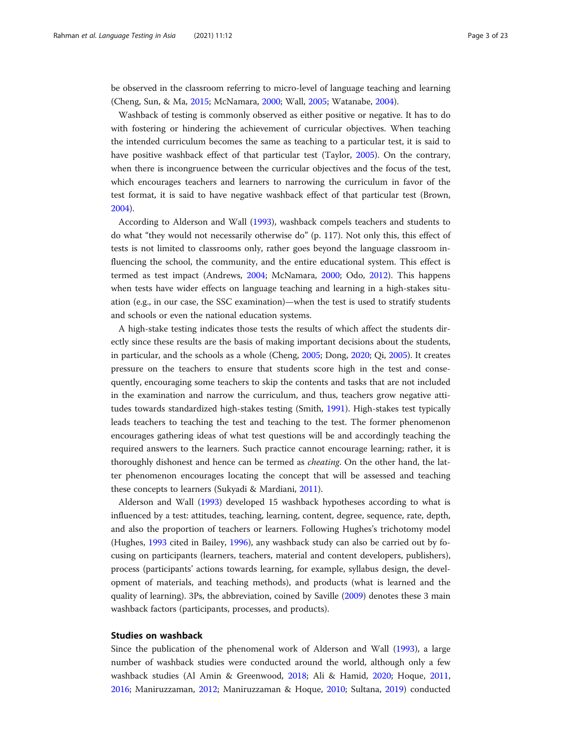be observed in the classroom referring to micro-level of language teaching and learning (Cheng, Sun, & Ma, [2015;](#page-21-0) McNamara, [2000](#page-21-0); Wall, [2005;](#page-22-0) Watanabe, [2004\)](#page-22-0).

Washback of testing is commonly observed as either positive or negative. It has to do with fostering or hindering the achievement of curricular objectives. When teaching the intended curriculum becomes the same as teaching to a particular test, it is said to have positive washback effect of that particular test (Taylor, [2005](#page-22-0)). On the contrary, when there is incongruence between the curricular objectives and the focus of the test, which encourages teachers and learners to narrowing the curriculum in favor of the test format, it is said to have negative washback effect of that particular test (Brown, [2004](#page-20-0)).

According to Alderson and Wall [\(1993\)](#page-20-0), washback compels teachers and students to do what "they would not necessarily otherwise do" (p. 117). Not only this, this effect of tests is not limited to classrooms only, rather goes beyond the language classroom influencing the school, the community, and the entire educational system. This effect is termed as test impact (Andrews, [2004](#page-20-0); McNamara, [2000](#page-21-0); Odo, [2012](#page-21-0)). This happens when tests have wider effects on language teaching and learning in a high-stakes situation (e.g., in our case, the SSC examination)—when the test is used to stratify students and schools or even the national education systems.

A high-stake testing indicates those tests the results of which affect the students directly since these results are the basis of making important decisions about the students, in particular, and the schools as a whole (Cheng, [2005;](#page-20-0) Dong, [2020;](#page-21-0) Qi, [2005\)](#page-21-0). It creates pressure on the teachers to ensure that students score high in the test and consequently, encouraging some teachers to skip the contents and tasks that are not included in the examination and narrow the curriculum, and thus, teachers grow negative attitudes towards standardized high-stakes testing (Smith, [1991\)](#page-22-0). High-stakes test typically leads teachers to teaching the test and teaching to the test. The former phenomenon encourages gathering ideas of what test questions will be and accordingly teaching the required answers to the learners. Such practice cannot encourage learning; rather, it is thoroughly dishonest and hence can be termed as *cheating*. On the other hand, the latter phenomenon encourages locating the concept that will be assessed and teaching these concepts to learners (Sukyadi & Mardiani, [2011\)](#page-22-0).

Alderson and Wall ([1993](#page-20-0)) developed 15 washback hypotheses according to what is influenced by a test: attitudes, teaching, learning, content, degree, sequence, rate, depth, and also the proportion of teachers or learners. Following Hughes's trichotomy model (Hughes, [1993](#page-21-0) cited in Bailey, [1996\)](#page-20-0), any washback study can also be carried out by focusing on participants (learners, teachers, material and content developers, publishers), process (participants' actions towards learning, for example, syllabus design, the development of materials, and teaching methods), and products (what is learned and the quality of learning). 3Ps, the abbreviation, coined by Saville [\(2009\)](#page-22-0) denotes these 3 main washback factors (participants, processes, and products).

#### Studies on washback

Since the publication of the phenomenal work of Alderson and Wall ([1993\)](#page-20-0), a large number of washback studies were conducted around the world, although only a few washback studies (Al Amin & Greenwood, [2018](#page-20-0); Ali & Hamid, [2020;](#page-20-0) Hoque, [2011](#page-21-0), [2016](#page-21-0); Maniruzzaman, [2012](#page-21-0); Maniruzzaman & Hoque, [2010](#page-21-0); Sultana, [2019\)](#page-22-0) conducted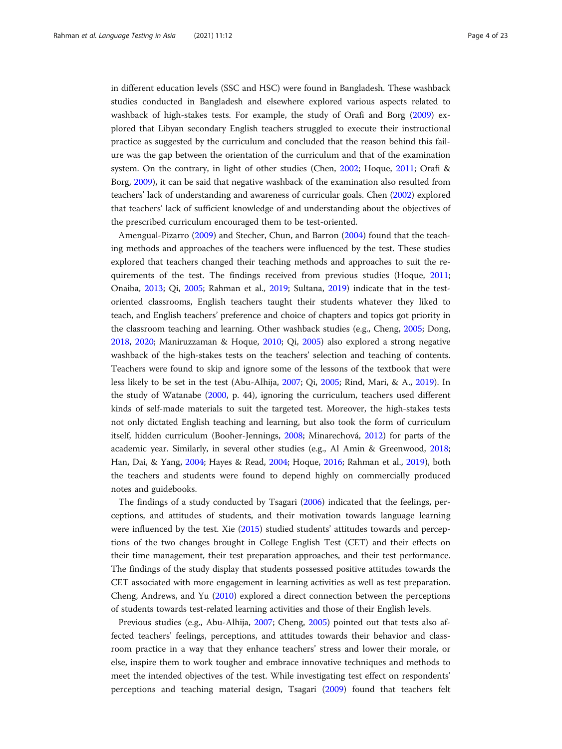in different education levels (SSC and HSC) were found in Bangladesh. These washback studies conducted in Bangladesh and elsewhere explored various aspects related to washback of high-stakes tests. For example, the study of Orafi and Borg [\(2009](#page-21-0)) explored that Libyan secondary English teachers struggled to execute their instructional practice as suggested by the curriculum and concluded that the reason behind this failure was the gap between the orientation of the curriculum and that of the examination system. On the contrary, in light of other studies (Chen, [2002;](#page-20-0) Hoque, [2011](#page-21-0); Orafi & Borg, [2009\)](#page-21-0), it can be said that negative washback of the examination also resulted from teachers' lack of understanding and awareness of curricular goals. Chen ([2002](#page-20-0)) explored that teachers' lack of sufficient knowledge of and understanding about the objectives of the prescribed curriculum encouraged them to be test-oriented.

Amengual-Pizarro [\(2009](#page-20-0)) and Stecher, Chun, and Barron [\(2004\)](#page-22-0) found that the teaching methods and approaches of the teachers were influenced by the test. These studies explored that teachers changed their teaching methods and approaches to suit the requirements of the test. The findings received from previous studies (Hoque, [2011](#page-21-0); Onaiba, [2013;](#page-21-0) Qi, [2005](#page-21-0); Rahman et al., [2019](#page-22-0); Sultana, [2019](#page-22-0)) indicate that in the testoriented classrooms, English teachers taught their students whatever they liked to teach, and English teachers' preference and choice of chapters and topics got priority in the classroom teaching and learning. Other washback studies (e.g., Cheng, [2005;](#page-20-0) Dong, [2018](#page-21-0), [2020;](#page-21-0) Maniruzzaman & Hoque, [2010](#page-21-0); Qi, [2005](#page-21-0)) also explored a strong negative washback of the high-stakes tests on the teachers' selection and teaching of contents. Teachers were found to skip and ignore some of the lessons of the textbook that were less likely to be set in the test (Abu-Alhija, [2007;](#page-20-0) Qi, [2005;](#page-21-0) Rind, Mari, & A., [2019](#page-22-0)). In the study of Watanabe [\(2000](#page-22-0), p. 44), ignoring the curriculum, teachers used different kinds of self-made materials to suit the targeted test. Moreover, the high-stakes tests not only dictated English teaching and learning, but also took the form of curriculum itself, hidden curriculum (Booher-Jennings, [2008;](#page-20-0) Minarechová, [2012](#page-21-0)) for parts of the academic year. Similarly, in several other studies (e.g., Al Amin & Greenwood, [2018](#page-20-0); Han, Dai, & Yang, [2004](#page-21-0); Hayes & Read, [2004;](#page-21-0) Hoque, [2016;](#page-21-0) Rahman et al., [2019](#page-22-0)), both the teachers and students were found to depend highly on commercially produced notes and guidebooks.

The findings of a study conducted by Tsagari ([2006](#page-22-0)) indicated that the feelings, perceptions, and attitudes of students, and their motivation towards language learning were influenced by the test. Xie ([2015](#page-22-0)) studied students' attitudes towards and perceptions of the two changes brought in College English Test (CET) and their effects on their time management, their test preparation approaches, and their test performance. The findings of the study display that students possessed positive attitudes towards the CET associated with more engagement in learning activities as well as test preparation. Cheng, Andrews, and Yu [\(2010\)](#page-20-0) explored a direct connection between the perceptions of students towards test-related learning activities and those of their English levels.

Previous studies (e.g., Abu-Alhija, [2007](#page-20-0); Cheng, [2005\)](#page-20-0) pointed out that tests also affected teachers' feelings, perceptions, and attitudes towards their behavior and classroom practice in a way that they enhance teachers' stress and lower their morale, or else, inspire them to work tougher and embrace innovative techniques and methods to meet the intended objectives of the test. While investigating test effect on respondents' perceptions and teaching material design, Tsagari ([2009](#page-22-0)) found that teachers felt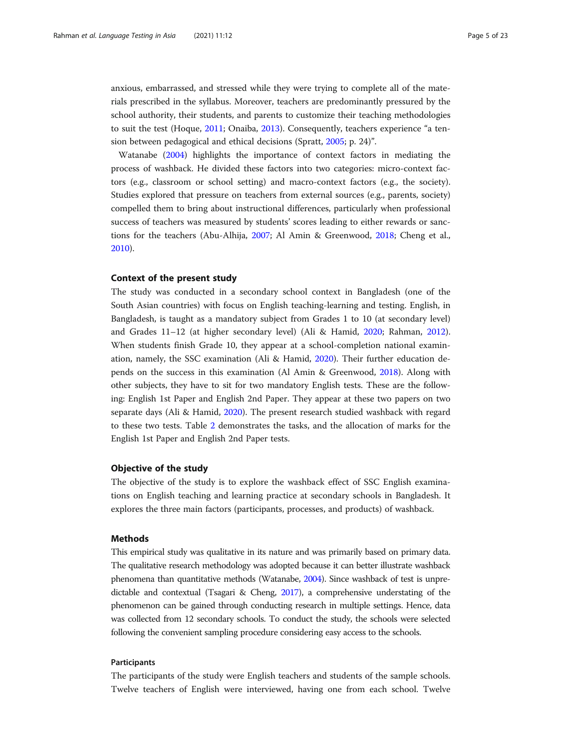anxious, embarrassed, and stressed while they were trying to complete all of the materials prescribed in the syllabus. Moreover, teachers are predominantly pressured by the school authority, their students, and parents to customize their teaching methodologies to suit the test (Hoque, [2011;](#page-21-0) Onaiba, [2013\)](#page-21-0). Consequently, teachers experience "a tension between pedagogical and ethical decisions (Spratt, [2005](#page-22-0); p. 24)".

Watanabe ([2004](#page-22-0)) highlights the importance of context factors in mediating the process of washback. He divided these factors into two categories: micro-context factors (e.g., classroom or school setting) and macro-context factors (e.g., the society). Studies explored that pressure on teachers from external sources (e.g., parents, society) compelled them to bring about instructional differences, particularly when professional success of teachers was measured by students' scores leading to either rewards or sanctions for the teachers (Abu-Alhija, [2007](#page-20-0); Al Amin & Greenwood, [2018;](#page-20-0) Cheng et al., [2010](#page-20-0)).

#### Context of the present study

The study was conducted in a secondary school context in Bangladesh (one of the South Asian countries) with focus on English teaching-learning and testing. English, in Bangladesh, is taught as a mandatory subject from Grades 1 to 10 (at secondary level) and Grades 11–12 (at higher secondary level) (Ali & Hamid, [2020](#page-20-0); Rahman, [2012](#page-22-0)). When students finish Grade 10, they appear at a school-completion national examination, namely, the SSC examination (Ali & Hamid, [2020](#page-20-0)). Their further education depends on the success in this examination (Al Amin & Greenwood, [2018](#page-20-0)). Along with other subjects, they have to sit for two mandatory English tests. These are the following: English 1st Paper and English 2nd Paper. They appear at these two papers on two separate days (Ali & Hamid, [2020\)](#page-20-0). The present research studied washback with regard to these two tests. Table [2](#page-9-0) demonstrates the tasks, and the allocation of marks for the English 1st Paper and English 2nd Paper tests.

#### Objective of the study

The objective of the study is to explore the washback effect of SSC English examinations on English teaching and learning practice at secondary schools in Bangladesh. It explores the three main factors (participants, processes, and products) of washback.

#### Methods

This empirical study was qualitative in its nature and was primarily based on primary data. The qualitative research methodology was adopted because it can better illustrate washback phenomena than quantitative methods (Watanabe, [2004\)](#page-22-0). Since washback of test is unpredictable and contextual (Tsagari & Cheng, [2017\)](#page-22-0), a comprehensive understating of the phenomenon can be gained through conducting research in multiple settings. Hence, data was collected from 12 secondary schools. To conduct the study, the schools were selected following the convenient sampling procedure considering easy access to the schools.

#### Participants

The participants of the study were English teachers and students of the sample schools. Twelve teachers of English were interviewed, having one from each school. Twelve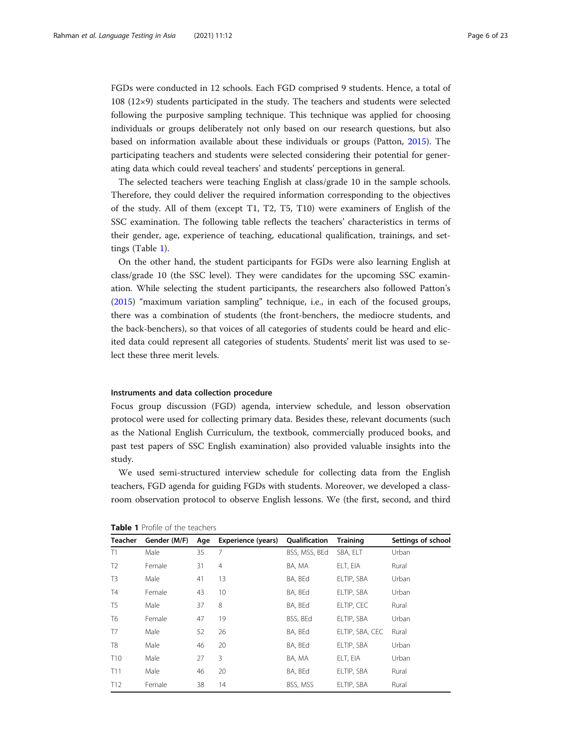FGDs were conducted in 12 schools. Each FGD comprised 9 students. Hence, a total of 108 (12×9) students participated in the study. The teachers and students were selected following the purposive sampling technique. This technique was applied for choosing individuals or groups deliberately not only based on our research questions, but also based on information available about these individuals or groups (Patton, [2015\)](#page-21-0). The participating teachers and students were selected considering their potential for generating data which could reveal teachers' and students' perceptions in general.

The selected teachers were teaching English at class/grade 10 in the sample schools. Therefore, they could deliver the required information corresponding to the objectives of the study. All of them (except T1, T2, T5, T10) were examiners of English of the SSC examination. The following table reflects the teachers' characteristics in terms of their gender, age, experience of teaching, educational qualification, trainings, and settings (Table 1).

On the other hand, the student participants for FGDs were also learning English at class/grade 10 (the SSC level). They were candidates for the upcoming SSC examination. While selecting the student participants, the researchers also followed Patton's ([2015](#page-21-0)) "maximum variation sampling" technique, i.e., in each of the focused groups, there was a combination of students (the front-benchers, the mediocre students, and the back-benchers), so that voices of all categories of students could be heard and elicited data could represent all categories of students. Students' merit list was used to select these three merit levels.

#### Instruments and data collection procedure

Focus group discussion (FGD) agenda, interview schedule, and lesson observation protocol were used for collecting primary data. Besides these, relevant documents (such as the National English Curriculum, the textbook, commercially produced books, and past test papers of SSC English examination) also provided valuable insights into the study.

We used semi-structured interview schedule for collecting data from the English teachers, FGD agenda for guiding FGDs with students. Moreover, we developed a classroom observation protocol to observe English lessons. We (the first, second, and third

| <b>Teacher</b>  | Gender (M/F) | Age | Experience (years) | Qualification | <b>Training</b> | Settings of school |  |  |
|-----------------|--------------|-----|--------------------|---------------|-----------------|--------------------|--|--|
| T1              | Male         | 35  | 7                  | BSS, MSS, BEd | SBA, ELT        | Urban              |  |  |
| T <sub>2</sub>  | Female       | 31  | $\overline{4}$     | BA. MA        | ELT, EIA        | Rural              |  |  |
| T <sub>3</sub>  | Male         | 41  | 13                 | BA, BEd       | ELTIP, SBA      | Urban              |  |  |
| <b>T4</b>       | Female       | 43  | 10                 | BA, BEd       | ELTIP, SBA      | Urban              |  |  |
| T <sub>5</sub>  | Male         | 37  | 8                  | BA. BEd       | ELTIP, CEC      | Rural              |  |  |
| T <sub>6</sub>  | Female       | 47  | 19                 | BSS, BEd      | ELTIP, SBA      | Urban              |  |  |
| T7              | Male         | 52  | 26                 | BA. BEd       | ELTIP, SBA, CEC | Rural              |  |  |
| T <sub>8</sub>  | Male         | 46  | 20                 | BA, BEd       | ELTIP, SBA      | Urban              |  |  |
| T <sub>10</sub> | Male         | 27  | 3                  | BA, MA        | ELT, EIA        | Urban              |  |  |
| T11             | Male         | 46  | 20                 | BA. BEd       | ELTIP, SBA      | Rural              |  |  |
| T12             | Female       | 38  | 14                 | BSS, MSS      | ELTIP, SBA      | Rural              |  |  |

Table 1 Profile of the teachers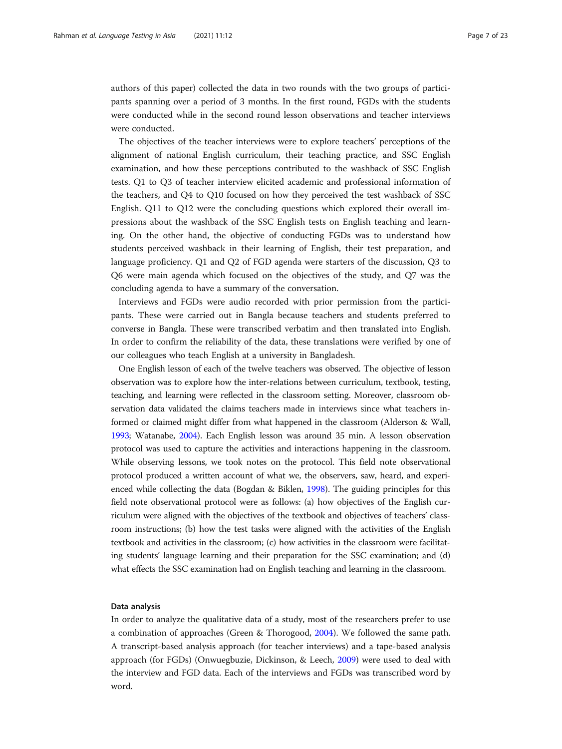authors of this paper) collected the data in two rounds with the two groups of participants spanning over a period of 3 months. In the first round, FGDs with the students were conducted while in the second round lesson observations and teacher interviews were conducted.

The objectives of the teacher interviews were to explore teachers' perceptions of the alignment of national English curriculum, their teaching practice, and SSC English examination, and how these perceptions contributed to the washback of SSC English tests. Q1 to Q3 of teacher interview elicited academic and professional information of the teachers, and Q4 to Q10 focused on how they perceived the test washback of SSC English. Q11 to Q12 were the concluding questions which explored their overall impressions about the washback of the SSC English tests on English teaching and learning. On the other hand, the objective of conducting FGDs was to understand how students perceived washback in their learning of English, their test preparation, and language proficiency. Q1 and Q2 of FGD agenda were starters of the discussion, Q3 to Q6 were main agenda which focused on the objectives of the study, and Q7 was the concluding agenda to have a summary of the conversation.

Interviews and FGDs were audio recorded with prior permission from the participants. These were carried out in Bangla because teachers and students preferred to converse in Bangla. These were transcribed verbatim and then translated into English. In order to confirm the reliability of the data, these translations were verified by one of our colleagues who teach English at a university in Bangladesh.

One English lesson of each of the twelve teachers was observed. The objective of lesson observation was to explore how the inter-relations between curriculum, textbook, testing, teaching, and learning were reflected in the classroom setting. Moreover, classroom observation data validated the claims teachers made in interviews since what teachers informed or claimed might differ from what happened in the classroom (Alderson & Wall, [1993;](#page-20-0) Watanabe, [2004](#page-22-0)). Each English lesson was around 35 min. A lesson observation protocol was used to capture the activities and interactions happening in the classroom. While observing lessons, we took notes on the protocol. This field note observational protocol produced a written account of what we, the observers, saw, heard, and experienced while collecting the data (Bogdan & Biklen, [1998\)](#page-20-0). The guiding principles for this field note observational protocol were as follows: (a) how objectives of the English curriculum were aligned with the objectives of the textbook and objectives of teachers' classroom instructions; (b) how the test tasks were aligned with the activities of the English textbook and activities in the classroom; (c) how activities in the classroom were facilitating students' language learning and their preparation for the SSC examination; and (d) what effects the SSC examination had on English teaching and learning in the classroom.

#### Data analysis

In order to analyze the qualitative data of a study, most of the researchers prefer to use a combination of approaches (Green & Thorogood, [2004](#page-21-0)). We followed the same path. A transcript-based analysis approach (for teacher interviews) and a tape-based analysis approach (for FGDs) (Onwuegbuzie, Dickinson, & Leech, [2009](#page-21-0)) were used to deal with the interview and FGD data. Each of the interviews and FGDs was transcribed word by word.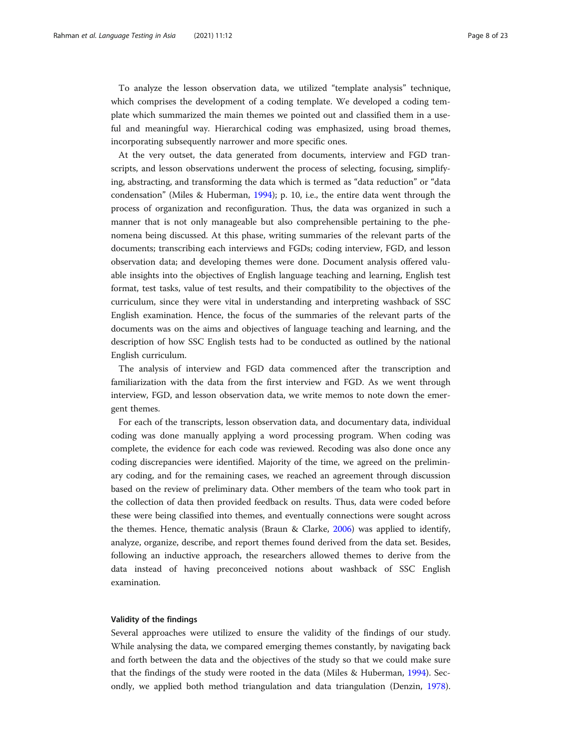To analyze the lesson observation data, we utilized "template analysis" technique, which comprises the development of a coding template. We developed a coding template which summarized the main themes we pointed out and classified them in a useful and meaningful way. Hierarchical coding was emphasized, using broad themes, incorporating subsequently narrower and more specific ones.

At the very outset, the data generated from documents, interview and FGD transcripts, and lesson observations underwent the process of selecting, focusing, simplifying, abstracting, and transforming the data which is termed as "data reduction" or "data condensation" (Miles & Huberman, [1994](#page-21-0)); p. 10, i.e., the entire data went through the process of organization and reconfiguration. Thus, the data was organized in such a manner that is not only manageable but also comprehensible pertaining to the phenomena being discussed. At this phase, writing summaries of the relevant parts of the documents; transcribing each interviews and FGDs; coding interview, FGD, and lesson observation data; and developing themes were done. Document analysis offered valuable insights into the objectives of English language teaching and learning, English test format, test tasks, value of test results, and their compatibility to the objectives of the curriculum, since they were vital in understanding and interpreting washback of SSC English examination. Hence, the focus of the summaries of the relevant parts of the documents was on the aims and objectives of language teaching and learning, and the description of how SSC English tests had to be conducted as outlined by the national English curriculum.

The analysis of interview and FGD data commenced after the transcription and familiarization with the data from the first interview and FGD. As we went through interview, FGD, and lesson observation data, we write memos to note down the emergent themes.

For each of the transcripts, lesson observation data, and documentary data, individual coding was done manually applying a word processing program. When coding was complete, the evidence for each code was reviewed. Recoding was also done once any coding discrepancies were identified. Majority of the time, we agreed on the preliminary coding, and for the remaining cases, we reached an agreement through discussion based on the review of preliminary data. Other members of the team who took part in the collection of data then provided feedback on results. Thus, data were coded before these were being classified into themes, and eventually connections were sought across the themes. Hence, thematic analysis (Braun & Clarke, [2006\)](#page-20-0) was applied to identify, analyze, organize, describe, and report themes found derived from the data set. Besides, following an inductive approach, the researchers allowed themes to derive from the data instead of having preconceived notions about washback of SSC English examination.

#### Validity of the findings

Several approaches were utilized to ensure the validity of the findings of our study. While analysing the data, we compared emerging themes constantly, by navigating back and forth between the data and the objectives of the study so that we could make sure that the findings of the study were rooted in the data (Miles & Huberman, [1994\)](#page-21-0). Secondly, we applied both method triangulation and data triangulation (Denzin, [1978](#page-21-0)).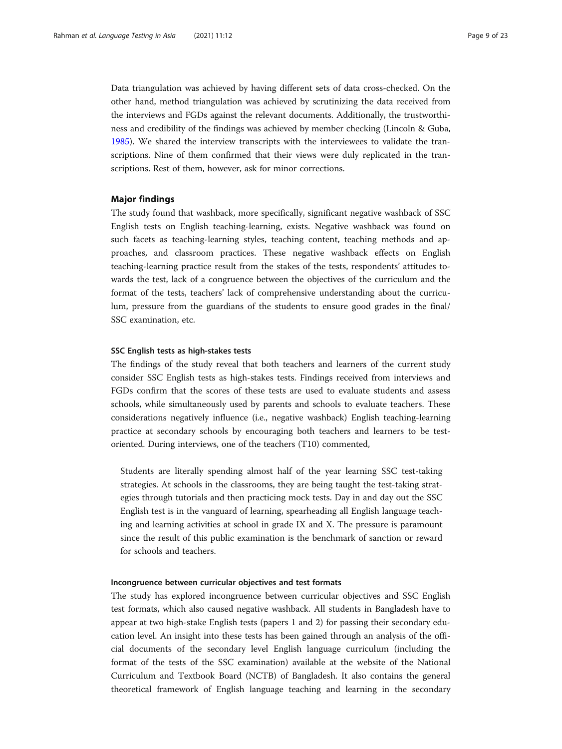Data triangulation was achieved by having different sets of data cross-checked. On the other hand, method triangulation was achieved by scrutinizing the data received from the interviews and FGDs against the relevant documents. Additionally, the trustworthiness and credibility of the findings was achieved by member checking (Lincoln & Guba, [1985](#page-21-0)). We shared the interview transcripts with the interviewees to validate the transcriptions. Nine of them confirmed that their views were duly replicated in the transcriptions. Rest of them, however, ask for minor corrections.

#### Major findings

The study found that washback, more specifically, significant negative washback of SSC English tests on English teaching-learning, exists. Negative washback was found on such facets as teaching-learning styles, teaching content, teaching methods and approaches, and classroom practices. These negative washback effects on English teaching-learning practice result from the stakes of the tests, respondents' attitudes towards the test, lack of a congruence between the objectives of the curriculum and the format of the tests, teachers' lack of comprehensive understanding about the curriculum, pressure from the guardians of the students to ensure good grades in the final/ SSC examination, etc.

#### SSC English tests as high-stakes tests

The findings of the study reveal that both teachers and learners of the current study consider SSC English tests as high-stakes tests. Findings received from interviews and FGDs confirm that the scores of these tests are used to evaluate students and assess schools, while simultaneously used by parents and schools to evaluate teachers. These considerations negatively influence (i.e., negative washback) English teaching-learning practice at secondary schools by encouraging both teachers and learners to be testoriented. During interviews, one of the teachers (T10) commented,

Students are literally spending almost half of the year learning SSC test-taking strategies. At schools in the classrooms, they are being taught the test-taking strategies through tutorials and then practicing mock tests. Day in and day out the SSC English test is in the vanguard of learning, spearheading all English language teaching and learning activities at school in grade IX and X. The pressure is paramount since the result of this public examination is the benchmark of sanction or reward for schools and teachers.

#### Incongruence between curricular objectives and test formats

The study has explored incongruence between curricular objectives and SSC English test formats, which also caused negative washback. All students in Bangladesh have to appear at two high-stake English tests (papers 1 and 2) for passing their secondary education level. An insight into these tests has been gained through an analysis of the official documents of the secondary level English language curriculum (including the format of the tests of the SSC examination) available at the website of the National Curriculum and Textbook Board (NCTB) of Bangladesh. It also contains the general theoretical framework of English language teaching and learning in the secondary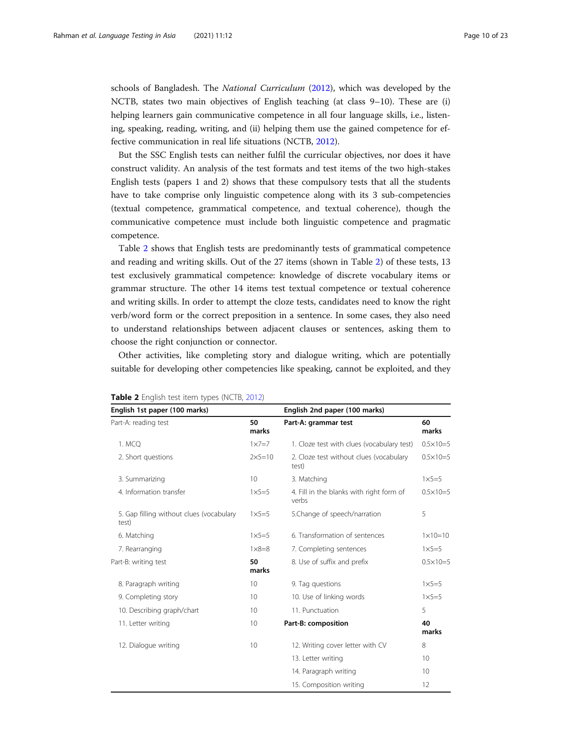<span id="page-9-0"></span>schools of Bangladesh. The *National Curriculum* [\(2012](#page-21-0)), which was developed by the NCTB, states two main objectives of English teaching (at class 9–10). These are (i) helping learners gain communicative competence in all four language skills, i.e., listening, speaking, reading, writing, and (ii) helping them use the gained competence for effective communication in real life situations (NCTB, [2012\)](#page-21-0).

But the SSC English tests can neither fulfil the curricular objectives, nor does it have construct validity. An analysis of the test formats and test items of the two high-stakes English tests (papers 1 and 2) shows that these compulsory tests that all the students have to take comprise only linguistic competence along with its 3 sub-competencies (textual competence, grammatical competence, and textual coherence), though the communicative competence must include both linguistic competence and pragmatic competence.

Table 2 shows that English tests are predominantly tests of grammatical competence and reading and writing skills. Out of the 27 items (shown in Table 2) of these tests, 13 test exclusively grammatical competence: knowledge of discrete vocabulary items or grammar structure. The other 14 items test textual competence or textual coherence and writing skills. In order to attempt the cloze tests, candidates need to know the right verb/word form or the correct preposition in a sentence. In some cases, they also need to understand relationships between adjacent clauses or sentences, asking them to choose the right conjunction or connector.

Other activities, like completing story and dialogue writing, which are potentially suitable for developing other competencies like speaking, cannot be exploited, and they

| English 1st paper (100 marks)                     |                   | English 2nd paper (100 marks)                     |                     |  |
|---------------------------------------------------|-------------------|---------------------------------------------------|---------------------|--|
| Part-A: reading test                              | 50<br>marks       | Part-A: grammar test                              | 60<br>marks         |  |
| 1. MCO                                            | $1 \times 7 = 7$  | 1. Cloze test with clues (vocabulary test)        | $0.5 \times 10 = 5$ |  |
| 2. Short questions                                | $2 \times 5 = 10$ | 2. Cloze test without clues (vocabulary<br>test)  | $0.5 \times 10 = 5$ |  |
| 3. Summarizing                                    | 10 <sup>°</sup>   | 3. Matching                                       | $1\times 5=5$       |  |
| 4. Information transfer                           | $1\times 5=5$     | 4. Fill in the blanks with right form of<br>verbs | $0.5 \times 10 = 5$ |  |
| 5. Gap filling without clues (vocabulary<br>test) | $1\times 5=5$     | 5.Change of speech/narration                      | 5                   |  |
| 6. Matching                                       | $1\times 5=5$     | 6. Transformation of sentences                    | $1 \times 10 = 10$  |  |
| 7. Rearranging                                    | $1 \times 8 = 8$  | 7. Completing sentences                           | $1\times 5=5$       |  |
| Part-B: writing test                              | 50<br>marks       | 8. Use of suffix and prefix                       | $0.5 \times 10 = 5$ |  |
| 8. Paragraph writing                              | 10 <sup>°</sup>   | 9. Tag questions                                  | $1\times 5=5$       |  |
| 9. Completing story                               | 10 <sup>1</sup>   | 10. Use of linking words                          | $1 \times 5 = 5$    |  |
| 10. Describing graph/chart                        | 10                | 11. Punctuation                                   | 5                   |  |
| 11. Letter writing                                | 10 <sup>°</sup>   | Part-B: composition                               | 40<br>marks         |  |
| 12. Dialogue writing                              | 10                | 12. Writing cover letter with CV                  | 8                   |  |
|                                                   |                   | 13. Letter writing                                | 10                  |  |
|                                                   |                   | 14. Paragraph writing                             | 10                  |  |
|                                                   |                   | 15. Composition writing                           | 12                  |  |

#### Table 2 English test item types (NCTB, [2012\)](#page-21-0)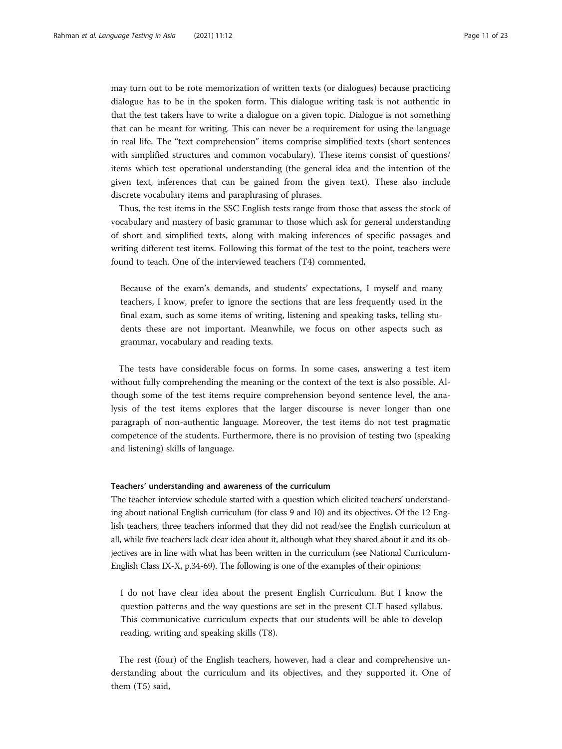may turn out to be rote memorization of written texts (or dialogues) because practicing dialogue has to be in the spoken form. This dialogue writing task is not authentic in that the test takers have to write a dialogue on a given topic. Dialogue is not something that can be meant for writing. This can never be a requirement for using the language in real life. The "text comprehension" items comprise simplified texts (short sentences with simplified structures and common vocabulary). These items consist of questions/ items which test operational understanding (the general idea and the intention of the given text, inferences that can be gained from the given text). These also include discrete vocabulary items and paraphrasing of phrases.

Thus, the test items in the SSC English tests range from those that assess the stock of vocabulary and mastery of basic grammar to those which ask for general understanding of short and simplified texts, along with making inferences of specific passages and writing different test items. Following this format of the test to the point, teachers were found to teach. One of the interviewed teachers (T4) commented,

Because of the exam's demands, and students' expectations, I myself and many teachers, I know, prefer to ignore the sections that are less frequently used in the final exam, such as some items of writing, listening and speaking tasks, telling students these are not important. Meanwhile, we focus on other aspects such as grammar, vocabulary and reading texts.

The tests have considerable focus on forms. In some cases, answering a test item without fully comprehending the meaning or the context of the text is also possible. Although some of the test items require comprehension beyond sentence level, the analysis of the test items explores that the larger discourse is never longer than one paragraph of non-authentic language. Moreover, the test items do not test pragmatic competence of the students. Furthermore, there is no provision of testing two (speaking and listening) skills of language.

#### Teachers' understanding and awareness of the curriculum

The teacher interview schedule started with a question which elicited teachers' understanding about national English curriculum (for class 9 and 10) and its objectives. Of the 12 English teachers, three teachers informed that they did not read/see the English curriculum at all, while five teachers lack clear idea about it, although what they shared about it and its objectives are in line with what has been written in the curriculum (see National Curriculum-English Class IX-X, p.34-69). The following is one of the examples of their opinions:

I do not have clear idea about the present English Curriculum. But I know the question patterns and the way questions are set in the present CLT based syllabus. This communicative curriculum expects that our students will be able to develop reading, writing and speaking skills (T8).

The rest (four) of the English teachers, however, had a clear and comprehensive understanding about the curriculum and its objectives, and they supported it. One of them (T5) said,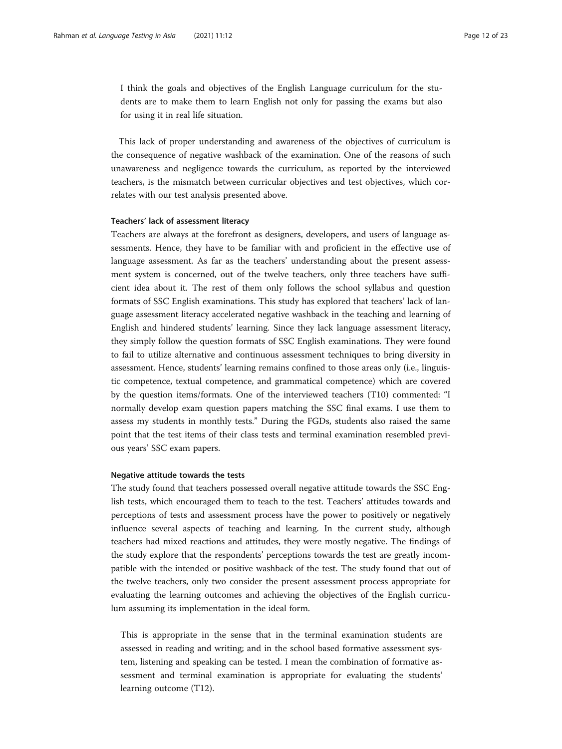I think the goals and objectives of the English Language curriculum for the students are to make them to learn English not only for passing the exams but also for using it in real life situation.

This lack of proper understanding and awareness of the objectives of curriculum is the consequence of negative washback of the examination. One of the reasons of such unawareness and negligence towards the curriculum, as reported by the interviewed teachers, is the mismatch between curricular objectives and test objectives, which correlates with our test analysis presented above.

#### Teachers' lack of assessment literacy

Teachers are always at the forefront as designers, developers, and users of language assessments. Hence, they have to be familiar with and proficient in the effective use of language assessment. As far as the teachers' understanding about the present assessment system is concerned, out of the twelve teachers, only three teachers have sufficient idea about it. The rest of them only follows the school syllabus and question formats of SSC English examinations. This study has explored that teachers' lack of language assessment literacy accelerated negative washback in the teaching and learning of English and hindered students' learning. Since they lack language assessment literacy, they simply follow the question formats of SSC English examinations. They were found to fail to utilize alternative and continuous assessment techniques to bring diversity in assessment. Hence, students' learning remains confined to those areas only (i.e., linguistic competence, textual competence, and grammatical competence) which are covered by the question items/formats. One of the interviewed teachers (T10) commented: "I normally develop exam question papers matching the SSC final exams. I use them to assess my students in monthly tests." During the FGDs, students also raised the same point that the test items of their class tests and terminal examination resembled previous years' SSC exam papers.

#### Negative attitude towards the tests

The study found that teachers possessed overall negative attitude towards the SSC English tests, which encouraged them to teach to the test. Teachers' attitudes towards and perceptions of tests and assessment process have the power to positively or negatively influence several aspects of teaching and learning. In the current study, although teachers had mixed reactions and attitudes, they were mostly negative. The findings of the study explore that the respondents' perceptions towards the test are greatly incompatible with the intended or positive washback of the test. The study found that out of the twelve teachers, only two consider the present assessment process appropriate for evaluating the learning outcomes and achieving the objectives of the English curriculum assuming its implementation in the ideal form.

This is appropriate in the sense that in the terminal examination students are assessed in reading and writing; and in the school based formative assessment system, listening and speaking can be tested. I mean the combination of formative assessment and terminal examination is appropriate for evaluating the students' learning outcome (T12).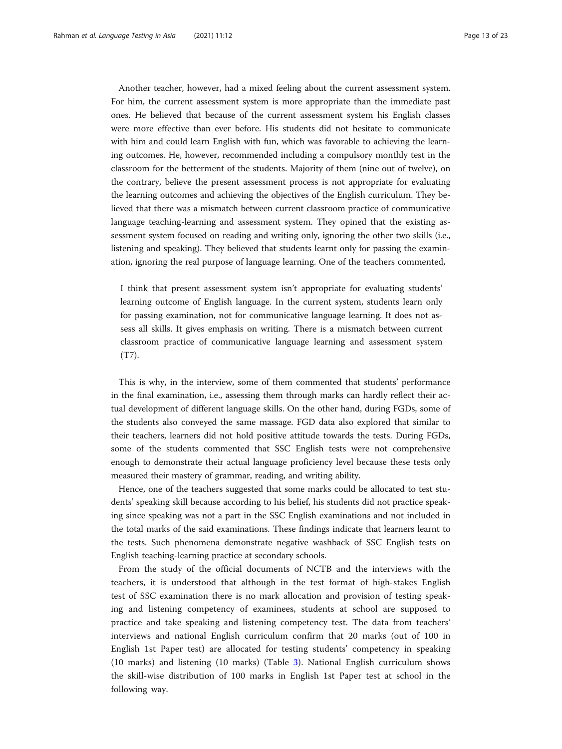Another teacher, however, had a mixed feeling about the current assessment system. For him, the current assessment system is more appropriate than the immediate past ones. He believed that because of the current assessment system his English classes were more effective than ever before. His students did not hesitate to communicate with him and could learn English with fun, which was favorable to achieving the learning outcomes. He, however, recommended including a compulsory monthly test in the classroom for the betterment of the students. Majority of them (nine out of twelve), on the contrary, believe the present assessment process is not appropriate for evaluating the learning outcomes and achieving the objectives of the English curriculum. They believed that there was a mismatch between current classroom practice of communicative language teaching-learning and assessment system. They opined that the existing assessment system focused on reading and writing only, ignoring the other two skills (i.e., listening and speaking). They believed that students learnt only for passing the examination, ignoring the real purpose of language learning. One of the teachers commented,

I think that present assessment system isn't appropriate for evaluating students' learning outcome of English language. In the current system, students learn only for passing examination, not for communicative language learning. It does not assess all skills. It gives emphasis on writing. There is a mismatch between current classroom practice of communicative language learning and assessment system (T7).

This is why, in the interview, some of them commented that students' performance in the final examination, i.e., assessing them through marks can hardly reflect their actual development of different language skills. On the other hand, during FGDs, some of the students also conveyed the same massage. FGD data also explored that similar to their teachers, learners did not hold positive attitude towards the tests. During FGDs, some of the students commented that SSC English tests were not comprehensive enough to demonstrate their actual language proficiency level because these tests only measured their mastery of grammar, reading, and writing ability.

Hence, one of the teachers suggested that some marks could be allocated to test students' speaking skill because according to his belief, his students did not practice speaking since speaking was not a part in the SSC English examinations and not included in the total marks of the said examinations. These findings indicate that learners learnt to the tests. Such phenomena demonstrate negative washback of SSC English tests on English teaching-learning practice at secondary schools.

From the study of the official documents of NCTB and the interviews with the teachers, it is understood that although in the test format of high-stakes English test of SSC examination there is no mark allocation and provision of testing speaking and listening competency of examinees, students at school are supposed to practice and take speaking and listening competency test. The data from teachers' interviews and national English curriculum confirm that 20 marks (out of 100 in English 1st Paper test) are allocated for testing students' competency in speaking (10 marks) and listening (10 marks) (Table [3](#page-13-0)). National English curriculum shows the skill-wise distribution of 100 marks in English 1st Paper test at school in the following way.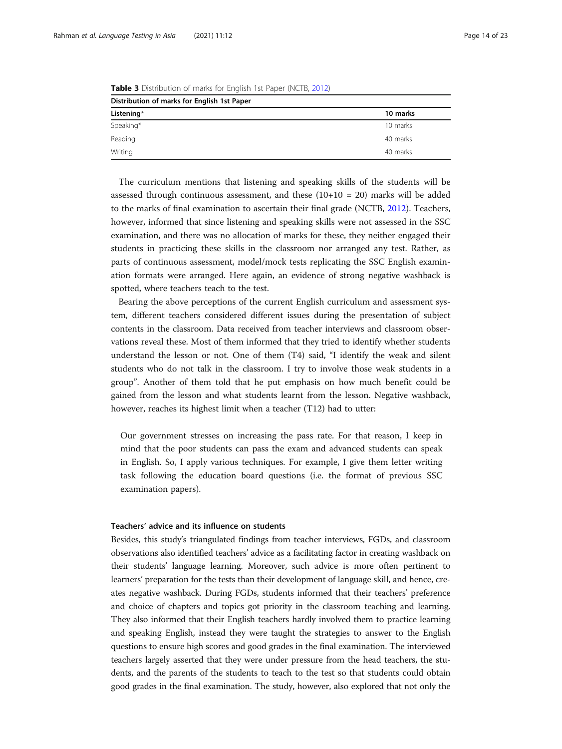| Distribution of marks for English 1st Paper |          |  |  |  |
|---------------------------------------------|----------|--|--|--|
| Listening*                                  | 10 marks |  |  |  |
| Speaking*                                   | 10 marks |  |  |  |
| Reading                                     | 40 marks |  |  |  |
| Writing                                     | 40 marks |  |  |  |

<span id="page-13-0"></span>Table 3 Distribution of marks for English 1st Paper (NCTB, [2012\)](#page-21-0)

The curriculum mentions that listening and speaking skills of the students will be assessed through continuous assessment, and these  $(10+10 = 20)$  marks will be added to the marks of final examination to ascertain their final grade (NCTB, [2012](#page-21-0)). Teachers, however, informed that since listening and speaking skills were not assessed in the SSC examination, and there was no allocation of marks for these, they neither engaged their students in practicing these skills in the classroom nor arranged any test. Rather, as parts of continuous assessment, model/mock tests replicating the SSC English examination formats were arranged. Here again, an evidence of strong negative washback is spotted, where teachers teach to the test.

Bearing the above perceptions of the current English curriculum and assessment system, different teachers considered different issues during the presentation of subject contents in the classroom. Data received from teacher interviews and classroom observations reveal these. Most of them informed that they tried to identify whether students understand the lesson or not. One of them (T4) said, "I identify the weak and silent students who do not talk in the classroom. I try to involve those weak students in a group". Another of them told that he put emphasis on how much benefit could be gained from the lesson and what students learnt from the lesson. Negative washback, however, reaches its highest limit when a teacher (T12) had to utter:

Our government stresses on increasing the pass rate. For that reason, I keep in mind that the poor students can pass the exam and advanced students can speak in English. So, I apply various techniques. For example, I give them letter writing task following the education board questions (i.e. the format of previous SSC examination papers).

#### Teachers' advice and its influence on students

Besides, this study's triangulated findings from teacher interviews, FGDs, and classroom observations also identified teachers' advice as a facilitating factor in creating washback on their students' language learning. Moreover, such advice is more often pertinent to learners' preparation for the tests than their development of language skill, and hence, creates negative washback. During FGDs, students informed that their teachers' preference and choice of chapters and topics got priority in the classroom teaching and learning. They also informed that their English teachers hardly involved them to practice learning and speaking English, instead they were taught the strategies to answer to the English questions to ensure high scores and good grades in the final examination. The interviewed teachers largely asserted that they were under pressure from the head teachers, the students, and the parents of the students to teach to the test so that students could obtain good grades in the final examination. The study, however, also explored that not only the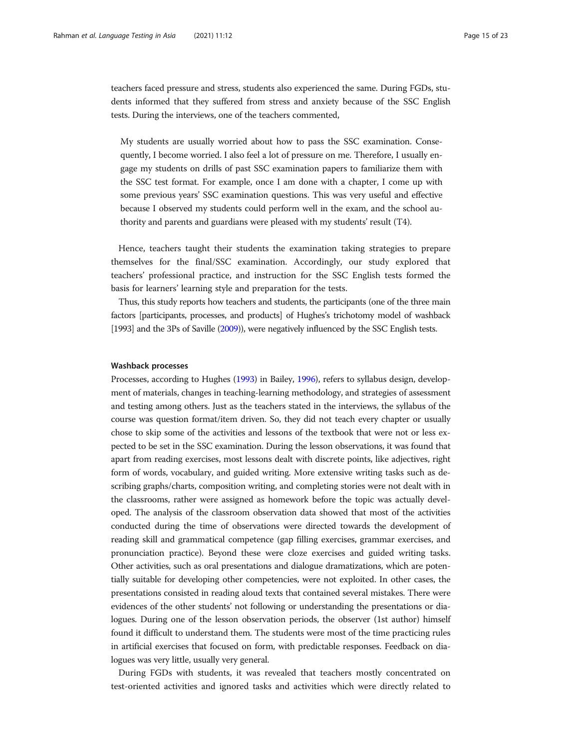teachers faced pressure and stress, students also experienced the same. During FGDs, students informed that they suffered from stress and anxiety because of the SSC English tests. During the interviews, one of the teachers commented,

My students are usually worried about how to pass the SSC examination. Consequently, I become worried. I also feel a lot of pressure on me. Therefore, I usually engage my students on drills of past SSC examination papers to familiarize them with the SSC test format. For example, once I am done with a chapter, I come up with some previous years' SSC examination questions. This was very useful and effective because I observed my students could perform well in the exam, and the school authority and parents and guardians were pleased with my students' result (T4).

Hence, teachers taught their students the examination taking strategies to prepare themselves for the final/SSC examination. Accordingly, our study explored that teachers' professional practice, and instruction for the SSC English tests formed the basis for learners' learning style and preparation for the tests.

Thus, this study reports how teachers and students, the participants (one of the three main factors [participants, processes, and products] of Hughes's trichotomy model of washback [1993] and the 3Ps of Saville [\(2009](#page-22-0))), were negatively influenced by the SSC English tests.

#### Washback processes

Processes, according to Hughes [\(1993\)](#page-21-0) in Bailey, [1996](#page-20-0)), refers to syllabus design, development of materials, changes in teaching-learning methodology, and strategies of assessment and testing among others. Just as the teachers stated in the interviews, the syllabus of the course was question format/item driven. So, they did not teach every chapter or usually chose to skip some of the activities and lessons of the textbook that were not or less expected to be set in the SSC examination. During the lesson observations, it was found that apart from reading exercises, most lessons dealt with discrete points, like adjectives, right form of words, vocabulary, and guided writing. More extensive writing tasks such as describing graphs/charts, composition writing, and completing stories were not dealt with in the classrooms, rather were assigned as homework before the topic was actually developed. The analysis of the classroom observation data showed that most of the activities conducted during the time of observations were directed towards the development of reading skill and grammatical competence (gap filling exercises, grammar exercises, and pronunciation practice). Beyond these were cloze exercises and guided writing tasks. Other activities, such as oral presentations and dialogue dramatizations, which are potentially suitable for developing other competencies, were not exploited. In other cases, the presentations consisted in reading aloud texts that contained several mistakes. There were evidences of the other students' not following or understanding the presentations or dialogues. During one of the lesson observation periods, the observer (1st author) himself found it difficult to understand them. The students were most of the time practicing rules in artificial exercises that focused on form, with predictable responses. Feedback on dialogues was very little, usually very general.

During FGDs with students, it was revealed that teachers mostly concentrated on test-oriented activities and ignored tasks and activities which were directly related to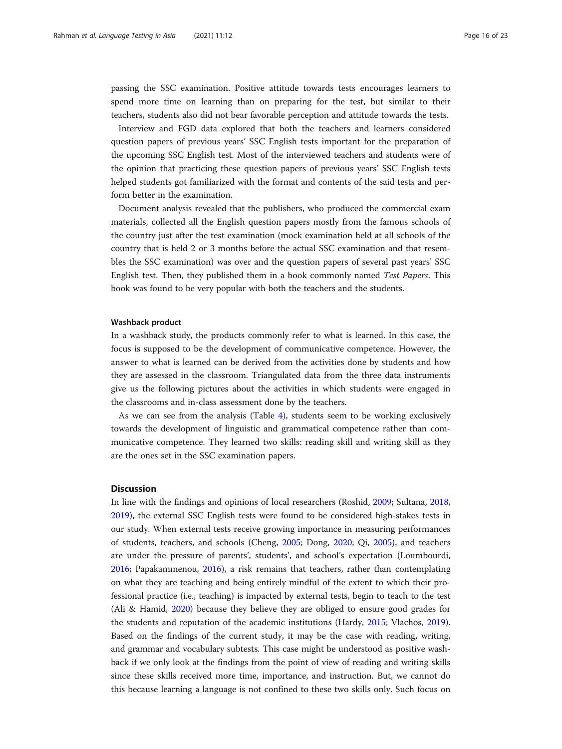passing the SSC examination. Positive attitude towards tests encourages learners to spend more time on learning than on preparing for the test, but similar to their teachers, students also did not bear favorable perception and attitude towards the tests.

Interview and FGD data explored that both the teachers and learners considered question papers of previous years' SSC English tests important for the preparation of the upcoming SSC English test. Most of the interviewed teachers and students were of the opinion that practicing these question papers of previous years' SSC English tests helped students got familiarized with the format and contents of the said tests and perform better in the examination.

Document analysis revealed that the publishers, who produced the commercial exam materials, collected all the English question papers mostly from the famous schools of the country just after the test examination (mock examination held at all schools of the country that is held 2 or 3 months before the actual SSC examination and that resembles the SSC examination) was over and the question papers of several past years' SSC English test. Then, they published them in a book commonly named Test Papers. This book was found to be very popular with both the teachers and the students.

#### Washback product

In a washback study, the products commonly refer to what is learned. In this case, the focus is supposed to be the development of communicative competence. However, the answer to what is learned can be derived from the activities done by students and how they are assessed in the classroom. Triangulated data from the three data instruments give us the following pictures about the activities in which students were engaged in the classrooms and in-class assessment done by the teachers.

As we can see from the analysis (Table [4\)](#page-16-0), students seem to be working exclusively towards the development of linguistic and grammatical competence rather than communicative competence. They learned two skills: reading skill and writing skill as they are the ones set in the SSC examination papers.

#### **Discussion**

In line with the findings and opinions of local researchers (Roshid, [2009](#page-22-0); Sultana, [2018](#page-22-0), [2019](#page-22-0)), the external SSC English tests were found to be considered high-stakes tests in our study. When external tests receive growing importance in measuring performances of students, teachers, and schools (Cheng, [2005;](#page-20-0) Dong, [2020](#page-21-0); Qi, [2005\)](#page-21-0), and teachers are under the pressure of parents', students', and school's expectation (Loumbourdi, [2016](#page-21-0); Papakammenou, [2016\)](#page-21-0), a risk remains that teachers, rather than contemplating on what they are teaching and being entirely mindful of the extent to which their professional practice (i.e., teaching) is impacted by external tests, begin to teach to the test (Ali & Hamid, [2020\)](#page-20-0) because they believe they are obliged to ensure good grades for the students and reputation of the academic institutions (Hardy, [2015](#page-21-0); Vlachos, [2019](#page-22-0)). Based on the findings of the current study, it may be the case with reading, writing, and grammar and vocabulary subtests. This case might be understood as positive washback if we only look at the findings from the point of view of reading and writing skills since these skills received more time, importance, and instruction. But, we cannot do this because learning a language is not confined to these two skills only. Such focus on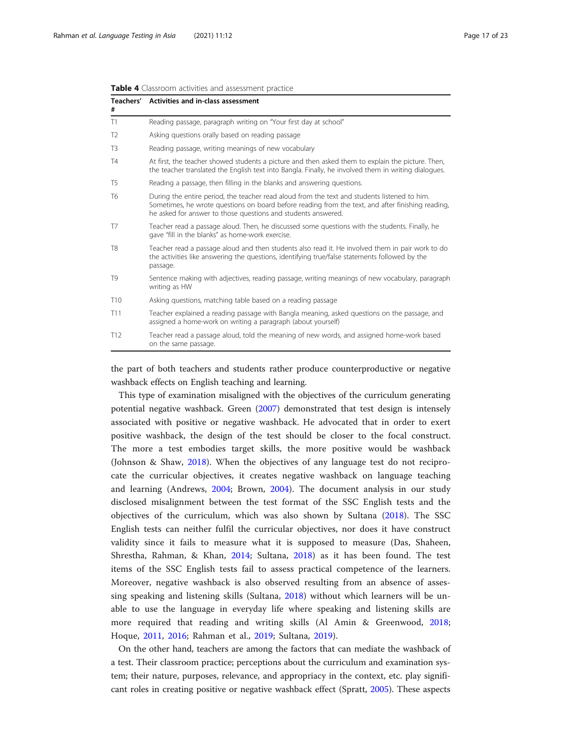| #               | Teachers' Activities and in-class assessment                                                                                                                                                                                                                       |  |  |  |  |
|-----------------|--------------------------------------------------------------------------------------------------------------------------------------------------------------------------------------------------------------------------------------------------------------------|--|--|--|--|
| T1              | Reading passage, paragraph writing on "Your first day at school"                                                                                                                                                                                                   |  |  |  |  |
| T <sub>2</sub>  | Asking questions orally based on reading passage                                                                                                                                                                                                                   |  |  |  |  |
| T <sub>3</sub>  | Reading passage, writing meanings of new vocabulary                                                                                                                                                                                                                |  |  |  |  |
| <b>T4</b>       | At first, the teacher showed students a picture and then asked them to explain the picture. Then,<br>the teacher translated the English text into Bangla. Finally, he involved them in writing dialogues.                                                          |  |  |  |  |
| T <sub>5</sub>  | Reading a passage, then filling in the blanks and answering questions.                                                                                                                                                                                             |  |  |  |  |
| T <sub>6</sub>  | During the entire period, the teacher read aloud from the text and students listened to him.<br>Sometimes, he wrote questions on board before reading from the text, and after finishing reading,<br>he asked for answer to those questions and students answered. |  |  |  |  |
| T7              | Teacher read a passage aloud. Then, he discussed some questions with the students. Finally, he<br>gave "fill in the blanks" as home-work exercise.                                                                                                                 |  |  |  |  |
| T8              | Teacher read a passage aloud and then students also read it. He involved them in pair work to do<br>the activities like answering the questions, identifying true/false statements followed by the<br>passage.                                                     |  |  |  |  |
| T <sub>9</sub>  | Sentence making with adjectives, reading passage, writing meanings of new vocabulary, paragraph<br>writing as HW                                                                                                                                                   |  |  |  |  |
| T <sub>10</sub> | Asking questions, matching table based on a reading passage                                                                                                                                                                                                        |  |  |  |  |
| T <sub>11</sub> | Teacher explained a reading passage with Bangla meaning, asked questions on the passage, and<br>assigned a home-work on writing a paragraph (about yourself)                                                                                                       |  |  |  |  |
| T <sub>12</sub> | Teacher read a passage aloud, told the meaning of new words, and assigned home-work based<br>on the same passage.                                                                                                                                                  |  |  |  |  |

<span id="page-16-0"></span>Table 4 Classroom activities and assessment practice

the part of both teachers and students rather produce counterproductive or negative washback effects on English teaching and learning.

This type of examination misaligned with the objectives of the curriculum generating potential negative washback. Green ([2007\)](#page-21-0) demonstrated that test design is intensely associated with positive or negative washback. He advocated that in order to exert positive washback, the design of the test should be closer to the focal construct. The more a test embodies target skills, the more positive would be washback (Johnson & Shaw, [2018\)](#page-21-0). When the objectives of any language test do not reciprocate the curricular objectives, it creates negative washback on language teaching and learning (Andrews, [2004](#page-20-0); Brown, [2004](#page-20-0)). The document analysis in our study disclosed misalignment between the test format of the SSC English tests and the objectives of the curriculum, which was also shown by Sultana [\(2018](#page-22-0)). The SSC English tests can neither fulfil the curricular objectives, nor does it have construct validity since it fails to measure what it is supposed to measure (Das, Shaheen, Shrestha, Rahman, & Khan, [2014](#page-21-0); Sultana, [2018](#page-22-0)) as it has been found. The test items of the SSC English tests fail to assess practical competence of the learners. Moreover, negative washback is also observed resulting from an absence of assessing speaking and listening skills (Sultana, [2018\)](#page-22-0) without which learners will be unable to use the language in everyday life where speaking and listening skills are more required that reading and writing skills (Al Amin & Greenwood, [2018](#page-20-0); Hoque, [2011,](#page-21-0) [2016](#page-21-0); Rahman et al., [2019;](#page-22-0) Sultana, [2019\)](#page-22-0).

On the other hand, teachers are among the factors that can mediate the washback of a test. Their classroom practice; perceptions about the curriculum and examination system; their nature, purposes, relevance, and appropriacy in the context, etc. play significant roles in creating positive or negative washback effect (Spratt, [2005](#page-22-0)). These aspects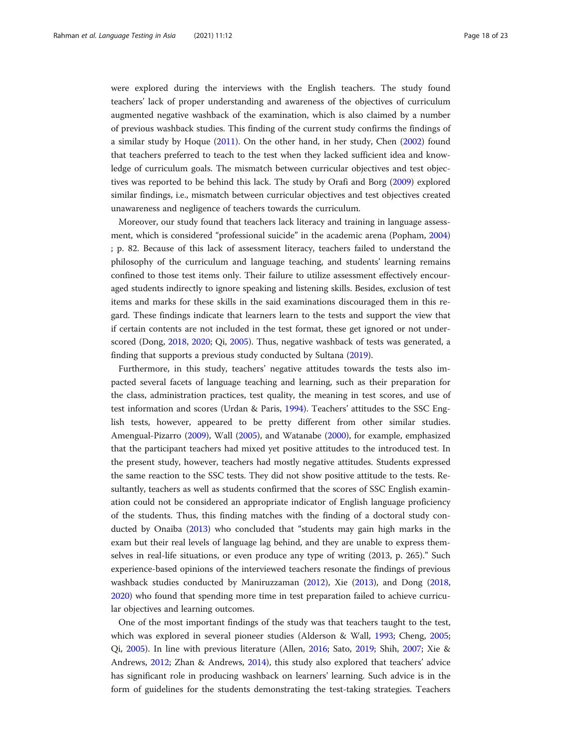were explored during the interviews with the English teachers. The study found teachers' lack of proper understanding and awareness of the objectives of curriculum augmented negative washback of the examination, which is also claimed by a number of previous washback studies. This finding of the current study confirms the findings of a similar study by Hoque ([2011](#page-21-0)). On the other hand, in her study, Chen [\(2002\)](#page-20-0) found that teachers preferred to teach to the test when they lacked sufficient idea and knowledge of curriculum goals. The mismatch between curricular objectives and test objectives was reported to be behind this lack. The study by Orafi and Borg [\(2009\)](#page-21-0) explored similar findings, i.e., mismatch between curricular objectives and test objectives created unawareness and negligence of teachers towards the curriculum.

Moreover, our study found that teachers lack literacy and training in language assessment, which is considered "professional suicide" in the academic arena (Popham, [2004](#page-21-0)) ; p. 82. Because of this lack of assessment literacy, teachers failed to understand the philosophy of the curriculum and language teaching, and students' learning remains confined to those test items only. Their failure to utilize assessment effectively encouraged students indirectly to ignore speaking and listening skills. Besides, exclusion of test items and marks for these skills in the said examinations discouraged them in this regard. These findings indicate that learners learn to the tests and support the view that if certain contents are not included in the test format, these get ignored or not underscored (Dong, [2018,](#page-21-0) [2020;](#page-21-0) Qi, [2005](#page-21-0)). Thus, negative washback of tests was generated, a finding that supports a previous study conducted by Sultana ([2019](#page-22-0)).

Furthermore, in this study, teachers' negative attitudes towards the tests also impacted several facets of language teaching and learning, such as their preparation for the class, administration practices, test quality, the meaning in test scores, and use of test information and scores (Urdan & Paris, [1994\)](#page-22-0). Teachers' attitudes to the SSC English tests, however, appeared to be pretty different from other similar studies. Amengual-Pizarro ([2009](#page-20-0)), Wall ([2005\)](#page-22-0), and Watanabe [\(2000\)](#page-22-0), for example, emphasized that the participant teachers had mixed yet positive attitudes to the introduced test. In the present study, however, teachers had mostly negative attitudes. Students expressed the same reaction to the SSC tests. They did not show positive attitude to the tests. Resultantly, teachers as well as students confirmed that the scores of SSC English examination could not be considered an appropriate indicator of English language proficiency of the students. Thus, this finding matches with the finding of a doctoral study conducted by Onaiba ([2013](#page-21-0)) who concluded that "students may gain high marks in the exam but their real levels of language lag behind, and they are unable to express themselves in real-life situations, or even produce any type of writing (2013, p. 265)." Such experience-based opinions of the interviewed teachers resonate the findings of previous washback studies conducted by Maniruzzaman [\(2012\)](#page-21-0), Xie [\(2013\)](#page-22-0), and Dong ([2018](#page-21-0), [2020](#page-21-0)) who found that spending more time in test preparation failed to achieve curricular objectives and learning outcomes.

One of the most important findings of the study was that teachers taught to the test, which was explored in several pioneer studies (Alderson & Wall, [1993;](#page-20-0) Cheng, [2005](#page-20-0); Qi, [2005\)](#page-21-0). In line with previous literature (Allen, [2016](#page-20-0); Sato, [2019;](#page-22-0) Shih, [2007;](#page-22-0) Xie & Andrews, [2012](#page-22-0); Zhan & Andrews, [2014](#page-22-0)), this study also explored that teachers' advice has significant role in producing washback on learners' learning. Such advice is in the form of guidelines for the students demonstrating the test-taking strategies. Teachers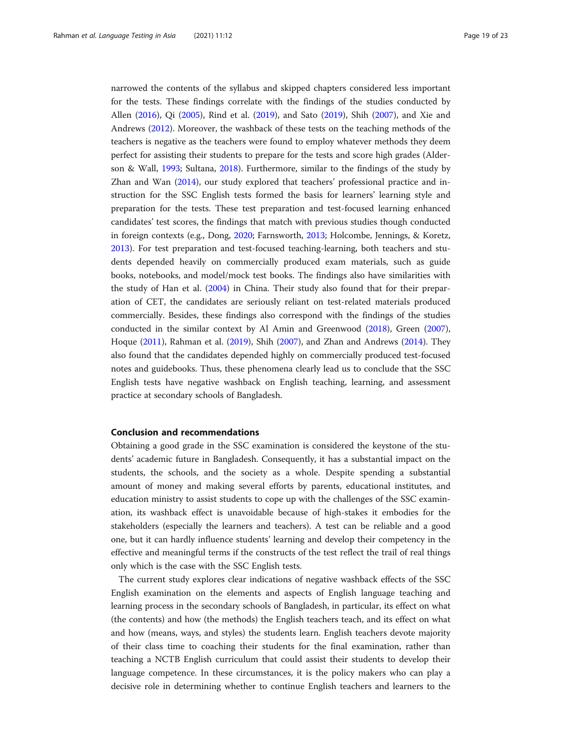narrowed the contents of the syllabus and skipped chapters considered less important for the tests. These findings correlate with the findings of the studies conducted by Allen [\(2016](#page-20-0)), Qi [\(2005](#page-21-0)), Rind et al. ([2019](#page-22-0)), and Sato ([2019](#page-22-0)), Shih ([2007](#page-22-0)), and Xie and Andrews [\(2012\)](#page-22-0). Moreover, the washback of these tests on the teaching methods of the teachers is negative as the teachers were found to employ whatever methods they deem perfect for assisting their students to prepare for the tests and score high grades (Alderson & Wall, [1993;](#page-20-0) Sultana, [2018](#page-22-0)). Furthermore, similar to the findings of the study by Zhan and Wan [\(2014\)](#page-22-0), our study explored that teachers' professional practice and instruction for the SSC English tests formed the basis for learners' learning style and preparation for the tests. These test preparation and test-focused learning enhanced candidates' test scores, the findings that match with previous studies though conducted in foreign contexts (e.g., Dong, [2020;](#page-21-0) Farnsworth, [2013;](#page-21-0) Holcombe, Jennings, & Koretz, [2013](#page-21-0)). For test preparation and test-focused teaching-learning, both teachers and students depended heavily on commercially produced exam materials, such as guide books, notebooks, and model/mock test books. The findings also have similarities with the study of Han et al. ([2004](#page-21-0)) in China. Their study also found that for their preparation of CET, the candidates are seriously reliant on test-related materials produced commercially. Besides, these findings also correspond with the findings of the studies conducted in the similar context by Al Amin and Greenwood ([2018](#page-20-0)), Green ([2007](#page-21-0)), Hoque ([2011](#page-21-0)), Rahman et al. [\(2019](#page-22-0)), Shih [\(2007](#page-22-0)), and Zhan and Andrews ([2014](#page-22-0)). They also found that the candidates depended highly on commercially produced test-focused notes and guidebooks. Thus, these phenomena clearly lead us to conclude that the SSC English tests have negative washback on English teaching, learning, and assessment practice at secondary schools of Bangladesh.

#### Conclusion and recommendations

Obtaining a good grade in the SSC examination is considered the keystone of the students' academic future in Bangladesh. Consequently, it has a substantial impact on the students, the schools, and the society as a whole. Despite spending a substantial amount of money and making several efforts by parents, educational institutes, and education ministry to assist students to cope up with the challenges of the SSC examination, its washback effect is unavoidable because of high-stakes it embodies for the stakeholders (especially the learners and teachers). A test can be reliable and a good one, but it can hardly influence students' learning and develop their competency in the effective and meaningful terms if the constructs of the test reflect the trail of real things only which is the case with the SSC English tests.

The current study explores clear indications of negative washback effects of the SSC English examination on the elements and aspects of English language teaching and learning process in the secondary schools of Bangladesh, in particular, its effect on what (the contents) and how (the methods) the English teachers teach, and its effect on what and how (means, ways, and styles) the students learn. English teachers devote majority of their class time to coaching their students for the final examination, rather than teaching a NCTB English curriculum that could assist their students to develop their language competence. In these circumstances, it is the policy makers who can play a decisive role in determining whether to continue English teachers and learners to the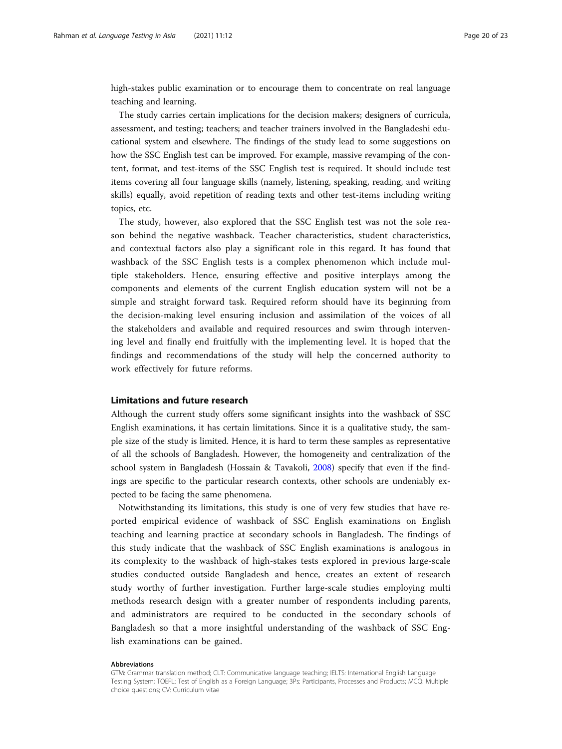high-stakes public examination or to encourage them to concentrate on real language teaching and learning.

The study carries certain implications for the decision makers; designers of curricula, assessment, and testing; teachers; and teacher trainers involved in the Bangladeshi educational system and elsewhere. The findings of the study lead to some suggestions on how the SSC English test can be improved. For example, massive revamping of the content, format, and test-items of the SSC English test is required. It should include test items covering all four language skills (namely, listening, speaking, reading, and writing skills) equally, avoid repetition of reading texts and other test-items including writing topics, etc.

The study, however, also explored that the SSC English test was not the sole reason behind the negative washback. Teacher characteristics, student characteristics, and contextual factors also play a significant role in this regard. It has found that washback of the SSC English tests is a complex phenomenon which include multiple stakeholders. Hence, ensuring effective and positive interplays among the components and elements of the current English education system will not be a simple and straight forward task. Required reform should have its beginning from the decision-making level ensuring inclusion and assimilation of the voices of all the stakeholders and available and required resources and swim through intervening level and finally end fruitfully with the implementing level. It is hoped that the findings and recommendations of the study will help the concerned authority to work effectively for future reforms.

#### Limitations and future research

Although the current study offers some significant insights into the washback of SSC English examinations, it has certain limitations. Since it is a qualitative study, the sample size of the study is limited. Hence, it is hard to term these samples as representative of all the schools of Bangladesh. However, the homogeneity and centralization of the school system in Bangladesh (Hossain & Tavakoli, [2008\)](#page-21-0) specify that even if the findings are specific to the particular research contexts, other schools are undeniably expected to be facing the same phenomena.

Notwithstanding its limitations, this study is one of very few studies that have reported empirical evidence of washback of SSC English examinations on English teaching and learning practice at secondary schools in Bangladesh. The findings of this study indicate that the washback of SSC English examinations is analogous in its complexity to the washback of high-stakes tests explored in previous large-scale studies conducted outside Bangladesh and hence, creates an extent of research study worthy of further investigation. Further large-scale studies employing multi methods research design with a greater number of respondents including parents, and administrators are required to be conducted in the secondary schools of Bangladesh so that a more insightful understanding of the washback of SSC English examinations can be gained.

#### Abbreviations

GTM: Grammar translation method; CLT: Communicative language teaching; IELTS: International English Language Testing System; TOEFL: Test of English as a Foreign Language; 3Ps: Participants, Processes and Products; MCQ: Multiple choice questions; CV: Curriculum vitae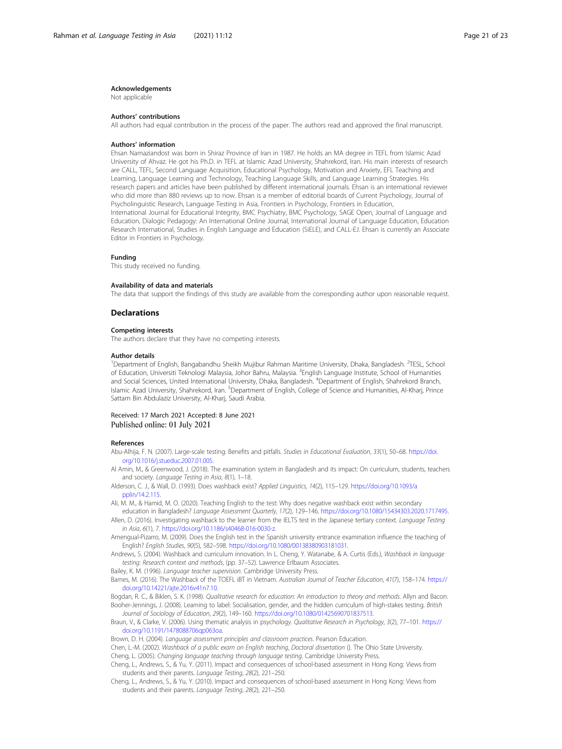#### <span id="page-20-0"></span>Acknowledgements

Not applicable

#### Authors' contributions

All authors had equal contribution in the process of the paper. The authors read and approved the final manuscript.

#### Authors' information

Ehsan Namaziandost was born in Shiraz Province of Iran in 1987. He holds an MA degree in TEFL from Islamic Azad University of Ahvaz. He got his Ph.D. in TEFL at Islamic Azad University, Shahrekord, Iran. His main interests of research are CALL, TEFL, Second Language Acquisition, Educational Psychology, Motivation and Anxiety, EFL Teaching and Learning, Language Learning and Technology, Teaching Language Skills, and Language Learning Strategies. His research papers and articles have been published by different international journals. Ehsan is an international reviewer who did more than 880 reviews up to now. Ehsan is a member of editorial boards of Current Psychology, Journal of Psycholinguistic Research, Language Testing in Asia, Frontiers in Psychology, Frontiers in Education, International Journal for Educational Integrity, BMC Psychiatry, BMC Psychology, SAGE Open, Journal of Language and

Education, Dialogic Pedagogy: An International Online Journal, International Journal of Language Education, Education Research International, Studies in English Language and Education (SiELE), and CALL-EJ. Ehsan is currently an Associate Editor in Frontiers in Psychology.

#### Funding

This study received no funding.

#### Availability of data and materials

The data that support the findings of this study are available from the corresponding author upon reasonable request.

#### Declarations

#### Competing interests

The authors declare that they have no competing interests.

#### Author details

<sup>1</sup>Department of English, Bangabandhu Sheikh Mujibur Rahman Maritime University, Dhaka, Bangladesh. <sup>2</sup>TESL, School of Education, Universiti Teknologi Malaysia, Johor Bahru, Malaysia. <sup>3</sup>English Language Institute, School of Humanities and Social Sciences, United International University, Dhaka, Bangladesh. <sup>4</sup>Department of English, Shahrekord Branch, Islamic Azad University, Shahrekord, Iran. <sup>5</sup>Department of English, College of Science and Humanities, Al-Kharj, Prince Sattam Bin Abdulaziz University, Al-Kharj, Saudi Arabia.

#### Received: 17 March 2021 Accepted: 8 June 2021 Published online: 01 July 2021

#### References

- Abu-Alhija, F. N. (2007). Large-scale testing: Benefits and pitfalls. Studies in Educational Evaluation, 33(1), 50–68. [https://doi.](https://doi.org/10.1016/j.stueduc.2007.01.005) [org/10.1016/j.stueduc.2007.01.005](https://doi.org/10.1016/j.stueduc.2007.01.005).
- Al Amin, M., & Greenwood, J. (2018). The examination system in Bangladesh and its impact: On curriculum, students, teachers and society. Language Testing in Asia, 8(1), 1–18.

Alderson, C. J., & Wall, D. (1993). Does washback exist? Applied Linguistics, 14(2), 115–129. [https://doi.org/10.1093/a](https://doi.org/10.1093/applin/14.2.115) [pplin/14.2.115](https://doi.org/10.1093/applin/14.2.115).

- Ali, M. M., & Hamid, M. O. (2020). Teaching English to the test: Why does negative washback exist within secondary education in Bangladesh? Language Assessment Quarterly, 17(2), 129-146. [https://doi.org/10.1080/15434303.2020.1717495.](https://doi.org/10.1080/15434303.2020.1717495)
- Allen, D. (2016). Investigating washback to the learner from the IELTS test in the Japanese tertiary context. Language Testing in Asia, 6(1), 7. [https://doi.org/10.1186/s40468-016-0030-z.](https://doi.org/10.1186/s40468-016-0030-z)
- Amengual-Pizarro, M. (2009). Does the English test in the Spanish university entrance examination influence the teaching of English? English Studies, 90(5), 582–598. <https://doi.org/10.1080/00138380903181031>.
- Andrews, S. (2004). Washback and curriculum innovation. In L. Cheng, Y. Watanabe, & A. Curtis (Eds.), Washback in language testing: Research context and methods, (pp. 37–52). Lawrence Erlbaum Associates.

Bailey, K. M. (1996). Language teacher supervision. Cambridge University Press.

Barnes, M. (2016). The Washback of the TOEFL iBT in Vietnam. Australian Journal of Teacher Education, 41(7), 158–174. [https://](https://doi.org/10.14221/ajte.2016v41n7.10) [doi.org/10.14221/ajte.2016v41n7.10.](https://doi.org/10.14221/ajte.2016v41n7.10)

Bogdan, R. C., & Biklen, S. K. (1998). Qualitative research for education: An introduction to theory and methods. Allyn and Bacon. Booher-Jennings, J. (2008). Learning to label: Socialisation, gender, and the hidden curriculum of high-stakes testing. British Journal of Sociology of Education, 29(2), 149–160. <https://doi.org/10.1080/01425690701837513>.

Braun, V., & Clarke, V. (2006). Using thematic analysis in psychology. Qualitative Research in Psychology, 3(2), 77-101. [https://](https://doi.org/10.1191/1478088706qp063oa) [doi.org/10.1191/1478088706qp063oa](https://doi.org/10.1191/1478088706qp063oa).

Brown, D. H. (2004). Language assessment principles and classroom practices. Pearson Education.

Chen, L.-M. (2002). Washback of a public exam on English teaching, Doctoral dissertation (). The Ohio State University. Cheng, L. (2005). Changing language teaching through language testing. Cambridge University Press.

Cheng, L., Andrews, S., & Yu, Y. (2011). Impact and consequences of school-based assessment in Hong Kong: Views from students and their parents. Language Testing, 28(2), 221–250.

Cheng, L., Andrews, S., & Yu, Y. (2010). Impact and consequences of school-based assessment in Hong Kong: Views from students and their parents. Language Testing, 28(2), 221–250.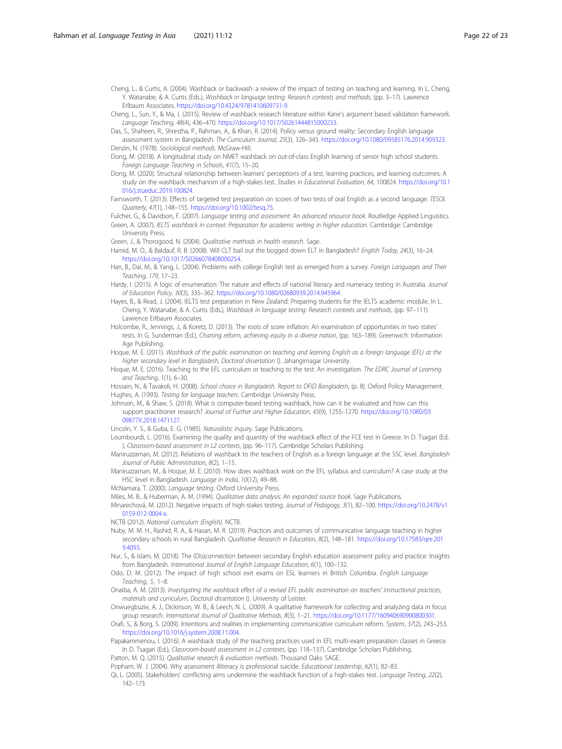<span id="page-21-0"></span>Cheng, L., & Curtis, A. (2004). Washback or backwash: a review of the impact of testing on teaching and learning. In L. Cheng, Y. Watanabe, & A. Curtis (Eds.), Washback in language testing: Research contexts and methods, (pp. 3–17). Lawrence Erlbaum Associates. [https://doi.org/10.4324/9781410609731-9.](https://doi.org/10.4324/9781410609731-9)

Cheng, L., Sun, Y., & Ma, J. (2015). Review of washback research literature within Kane's argument based validation framework. Language Teaching, 48(4), 436–470. [https://doi.org/10.1017/S0261444815000233.](https://doi.org/10.1017/S0261444815000233)

Das, S., Shaheen, R., Shrestha, P., Rahman, A., & Khan, R. (2014). Policy versus ground reality: Secondary English language assessment system in Bangladesh. The Curriculum Journal, 25(3), 326–343. [https://doi.org/10.1080/09585176.2014.909323.](https://doi.org/10.1080/09585176.2014.909323)

Denzin, N. (1978). Sociological methods. McGraw-Hill. Dong, M. (2018). A longitudinal study on NMET washback on out-of-class English learning of senior high school students.

Foreign Language Teaching in Schools, 41(7), 15–20.

- Dong, M. (2020). Structural relationship between learners' perceptions of a test, learning practices, and learning outcomes: A study on the washback mechanism of a high-stakes test. Studies in Educational Evaluation, 64, 100824. [https://doi.org/10.1](https://doi.org/10.1016/j.stueduc.2019.100824) [016/j.stueduc.2019.100824](https://doi.org/10.1016/j.stueduc.2019.100824).
- Farnsworth, T. (2013). Effects of targeted test preparation on scores of two tests of oral English as a second language. TESOL Quarterly, 47(1), 148–155. <https://doi.org/10.1002/tesq.75>.

Fulcher, G., & Davidson, F. (2007). Language testing and assessment: An advanced resource book. Routledge Applied Linguistics. Green, A. (2007). IELTS washback in context: Preparation for academic writing in higher education. Cambridge: Cambridge University Press.

Green, J., & Thorogood, N. (2004). Qualitative methods in health research. Sage.

Hamid, M. O., & Baldauf, R. B. (2008). Will CLT bail out the bogged down ELT in Bangladesh? English Today, 24(3), 16–24. [https://doi.org/10.1017/S0266078408000254.](https://doi.org/10.1017/S0266078408000254)

Han, B., Dai, M., & Yang, L. (2004). Problems with college English test as emerged from a survey. Foreign Languages and Their Teaching, 179, 17–23.

Hardy, I. (2015). A logic of enumeration: The nature and effects of national literacy and numeracy testing in Australia. Journal of Education Policy, 30(3), 335–362. [https://doi.org/10.1080/02680939.2014.945964.](https://doi.org/10.1080/02680939.2014.945964)

Hayes, B., & Read, J. (2004). IELTS test preparation in New Zealand: Preparing students for the IELTS academic module. In L. Cheng, Y. Watanabe, & A. Curtis (Eds.), Washback in language testing: Research contexts and methods, (pp. 97–111). Lawrence Erlbaum Associates.

Holcombe, R., Jennings, J., & Koretz, D. (2013). The roots of score inflation: An examination of opportunities in two states' tests. In G. Sunderman (Ed.), Charting reform, achieving equity in a diverse nation, (pp. 163–189). Greenwich: Information Age Publishing.

Hoque, M. E. (2011). Washback of the public examination on teaching and learning English as a foreign language (EFL) at the higher secondary level in Bangladesh, Doctoral dissertation (). Jahangirnagar University.

Hoque, M. E. (2016). Teaching to the EFL curriculum or teaching to the test: An investigation. The EDRC Journal of Learning and Teaching, 1(1), 6–30.

Hossain, N., & Tavakoli, H. (2008). School choice in Bangladesh. Report to DFID Bangladesh, (p. 8). Oxford Policy Management. Hughes, A. (1993). Testing for language teachers. Cambridge University Press.

Johnson, M., & Shaw, S. (2018). What is computer-based testing washback, how can it be evaluated and how can this support practitioner research? Journal of Further and Higher Education, 43(9), 1255–1270. [https://doi.org/10.1080/03](https://doi.org/10.1080/0309877X.2018.1471127) [09877X.2018.1471127](https://doi.org/10.1080/0309877X.2018.1471127).

Lincoln, Y. S., & Guba, E. G. (1985). Naturalistic inquiry. Sage Publications.

- Loumbourdi, L. (2016). Examining the quality and quantity of the washback effect of the FCE test in Greece. In D. Tsagari (Ed. ), Classroom-based assessment in L2 contexts, (pp. 96–117). Cambridge Scholars Publishing.
- Maniruzzaman, M. (2012). Relations of washback to the teachers of English as a foreign language at the SSC level. Bangladesh Journal of Public Administration, 8(2), 1–15.
- Maniruzzaman, M., & Hoque, M. E. (2010). How does washback work on the EFL syllabus and curriculum? A case study at the HSC level in Bangladesh. Language in India, 10(12), 49–88.
- McNamara, T. (2000). Language testing. Oxford University Press.

Miles, M. B., & Huberman, A. M. (1994). Qualitative data analysis: An expanded source book. Sage Publications.

Minarechová, M. (2012). Negative impacts of high-stakes testing. Journal of Pedagogy, 3(1), 82–100. [https://doi.org/10.2478/v1](https://doi.org/10.2478/v10159-012-0004-x) [0159-012-0004-x](https://doi.org/10.2478/v10159-012-0004-x).

- NCTB (2012). National curriculum (English). NCTB.
- Nuby, M. M. H., Rashid, R. A., & Hasan, M. R. (2019). Practices and outcomes of communicative language teaching in higher secondary schools in rural Bangladesh. Qualitative Research in Education, 8(2), 148–181. [https://doi.org/10.17583/qre.201](https://doi.org/10.17583/qre.2019.4093) [9.4093.](https://doi.org/10.17583/qre.2019.4093)
- Nur, S., & Islam, M. (2018). The (Dis)connection between secondary English education assessment policy and practice: Insights from Bangladesh. International Journal of English Language Education, 6(1), 100–132.
- Odo, D. M. (2012). The impact of high school exit exams on ESL learners in British Columbia. English Language Teaching, 5, 1–8.
- Onaiba, A. M. (2013). Investigating the washback effect of a revised EFL public examination on teachers' instructional practices, materials and curriculum, Doctoral dissertation (). University of Leister.

Onwuegbuzie, A. J., Dickinson, W. B., & Leech, N. L. (2009). A qualitative framework for collecting and analyzing data in focus group research. International Journal of Qualitative Methods, 8(3), 1–21. [https://doi.org/10.1177/160940690900800301.](https://doi.org/10.1177/160940690900800301)

Orafi, S., & Borg, S. (2009). Intentions and realities in implementing communicative curriculum reform. System, 37(2), 243–253. <https://doi.org/10.1016/j.system.2008.11.004>.

Papakammenou, I. (2016). A washback study of the teaching practices used in EFL multi-exam preparation classes in Greece. In D. Tsagari (Ed.), Classroom-based assessment in L2 contexts, (pp. 118–137). Cambridge Scholars Publishing.

Patton, M. Q. (2015). Qualitative research & evaluation methods. Thousand Oaks: SAGE.

Popham, W. J. (2004). Why assessment illiteracy is professional suicide. Educational Leadership, 62(1), 82-83.

Qi, L. (2005). Stakeholders' conflicting aims undermine the washback function of a high-stakes test. Language Testing, 22(2), 142–173.